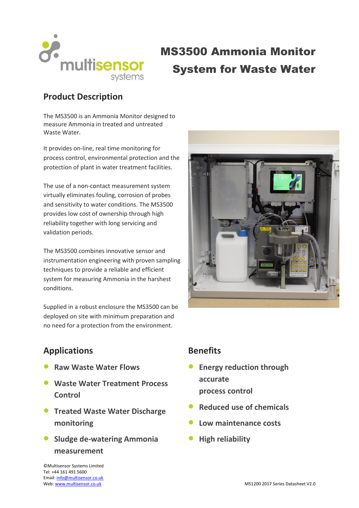

# MS3500 Ammonia Monitor System for Waste Water

# **Product Description**

The MS3500 is an Ammonia Monitor designed to measure Ammonia in treated and untreated Waste Water.

It provides on-line, real time monitoring for process control, environmental protection and the protection of plant in water treatment facilities.

The use of a non-contact measurement system virtually eliminates fouling, corrosion of probes and sensitivity to water conditions. The MS3500 provides low cost of ownership through high reliability together with long servicing and validation periods.

The MS3500 combines innovative sensor and instrumentation engineering with proven sampling techniques to provide a reliable and efficient system for measuring Ammonia in the harshest conditions.

Supplied in a robust enclosure the MS3500 can be deployed on site with minimum preparation and no need for a protection from the environment.



# **Applications**

- **Raw Waste Water Flows**
- **Waste Water Treatment Process Control**
- **Treated Waste Water Discharge monitoring**
- **Sludge de-watering Ammonia measurement**

### **Benefits**

- **Energy reduction through accurate process control**
- **Reduced use of chemicals**
- **Low maintenance costs**
- **High reliability**

©Multisensor Systems Limited Tel: +44 161 491 5600 Email[: info@multisensor.co.uk](mailto:info@multisensor.co.uk)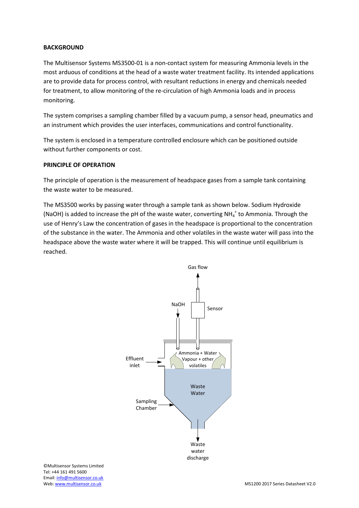#### **BACKGROUND**

The Multisensor Systems MS3500-01 is a non-contact system for measuring Ammonia levels in the most arduous of conditions at the head of a waste water treatment facility. Its intended applications are to provide data for process control, with resultant reductions in energy and chemicals needed for treatment, to allow monitoring of the re-circulation of high Ammonia loads and in process monitoring.

The system comprises a sampling chamber filled by a vacuum pump, a sensor head, pneumatics and an instrument which provides the user interfaces, communications and control functionality.

The system is enclosed in a temperature controlled enclosure which can be positioned outside without further components or cost.

#### **PRINCIPLE OF OPERATION**

The principle of operation is the measurement of headspace gases from a sample tank containing the waste water to be measured.

The MS3500 works by passing water through a sample tank as shown below. Sodium Hydroxide (NaOH) is added to increase the pH of the waste water, converting NH $_4^+$  to Ammonia. Through the use of Henry's Law the concentration of gases in the headspace is proportional to the concentration of the substance in the water. The Ammonia and other volatiles in the waste water will pass into the headspace above the waste water where it will be trapped. This will continue until equilibrium is reached.



©Multisensor Systems Limited Tel: +44 161 491 5600 Email[: info@multisensor.co.uk](mailto:info@multisensor.co.uk)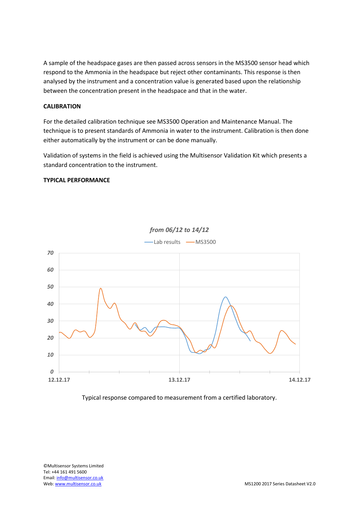A sample of the headspace gases are then passed across sensors in the MS3500 sensor head which respond to the Ammonia in the headspace but reject other contaminants. This response is then analysed by the instrument and a concentration value is generated based upon the relationship between the concentration present in the headspace and that in the water.

#### **CALIBRATION**

For the detailed calibration technique see MS3500 Operation and Maintenance Manual. The technique is to present standards of Ammonia in water to the instrument. Calibration is then done either automatically by the instrument or can be done manually.

Validation of systems in the field is achieved using the Multisensor Validation Kit which presents a standard concentration to the instrument.

#### **TYPICAL PERFORMANCE**

![](_page_2_Figure_5.jpeg)

![](_page_2_Figure_6.jpeg)